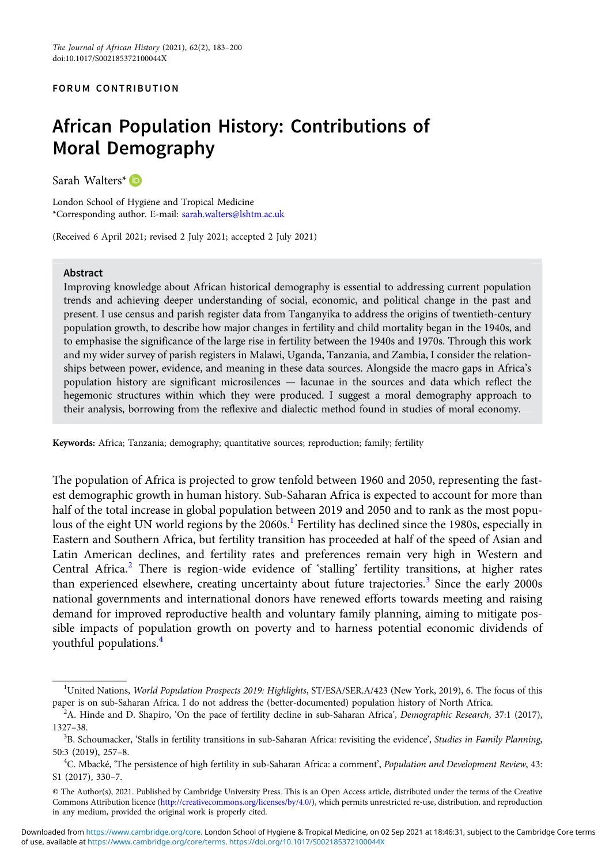#### FORUM CONTRIBUTION

# African Population History: Contributions of Moral Demography

Sarah Walters<sup>\*</sup>

London School of Hygiene and Tropical Medicine \*Corresponding author. E-mail: [sarah.walters@lshtm.ac.uk](mailto:sarah.walters@lshtm.ac.uk)

(Received 6 April 2021; revised 2 July 2021; accepted 2 July 2021)

#### Abstract

Improving knowledge about African historical demography is essential to addressing current population trends and achieving deeper understanding of social, economic, and political change in the past and present. I use census and parish register data from Tanganyika to address the origins of twentieth-century population growth, to describe how major changes in fertility and child mortality began in the 1940s, and to emphasise the significance of the large rise in fertility between the 1940s and 1970s. Through this work and my wider survey of parish registers in Malawi, Uganda, Tanzania, and Zambia, I consider the relationships between power, evidence, and meaning in these data sources. Alongside the macro gaps in Africa's population history are significant microsilences — lacunae in the sources and data which reflect the hegemonic structures within which they were produced. I suggest a moral demography approach to their analysis, borrowing from the reflexive and dialectic method found in studies of moral economy.

Keywords: Africa; Tanzania; demography; quantitative sources; reproduction; family; fertility

The population of Africa is projected to grow tenfold between 1960 and 2050, representing the fastest demographic growth in human history. Sub-Saharan Africa is expected to account for more than half of the total increase in global population between 2019 and 2050 and to rank as the most populous of the eight UN world regions by the  $2060s<sup>1</sup>$  Fertility has declined since the 1980s, especially in Eastern and Southern Africa, but fertility transition has proceeded at half of the speed of Asian and Latin American declines, and fertility rates and preferences remain very high in Western and Central Africa.<sup>2</sup> There is region-wide evidence of 'stalling' fertility transitions, at higher rates than experienced elsewhere, creating uncertainty about future trajectories.<sup>3</sup> Since the early 2000s national governments and international donors have renewed efforts towards meeting and raising demand for improved reproductive health and voluntary family planning, aiming to mitigate possible impacts of population growth on poverty and to harness potential economic dividends of youthful populations.<sup>4</sup>

<sup>&</sup>lt;sup>1</sup>United Nations, World Population Prospects 2019: Highlights, ST/ESA/SER.A/423 (New York, 2019), 6. The focus of this paper is on sub-Saharan Africa. I do not address the (better-documented) population history of North Africa. <sup>2</sup>

 $A$ . Hinde and D. Shapiro, 'On the pace of fertility decline in sub-Saharan Africa', Demographic Research, 37:1 (2017), 1327–38.

<sup>&</sup>lt;sup>3</sup>B. Schoumacker, 'Stalls in fertility transitions in sub-Saharan Africa: revisiting the evidence', Studies in Family Planning, 50:3 (2019), 257–8. <sup>4</sup>

<sup>&</sup>lt;sup>4</sup>C. Mbacké, 'The persistence of high fertility in sub-Saharan Africa: a comment', Population and Development Review, 43: S1 (2017), 330–7.

<sup>©</sup> The Author(s), 2021. Published by Cambridge University Press. This is an Open Access article, distributed under the terms of the Creative Commons Attribution licence [\(http://creativecommons.org/licenses/by/4.0/\)](http://creativecommons.org/licenses/by/4.0/), which permits unrestricted re-use, distribution, and reproduction in any medium, provided the original work is properly cited.

of use, available at [https://www.cambridge.org/core/terms.](https://www.cambridge.org/core/terms) <https://doi.org/10.1017/S002185372100044X> Downloaded from [https://www.cambridge.org/core.](https://www.cambridge.org/core) London School of Hygiene & Tropical Medicine, on 02 Sep 2021 at 18:46:31, subject to the Cambridge Core terms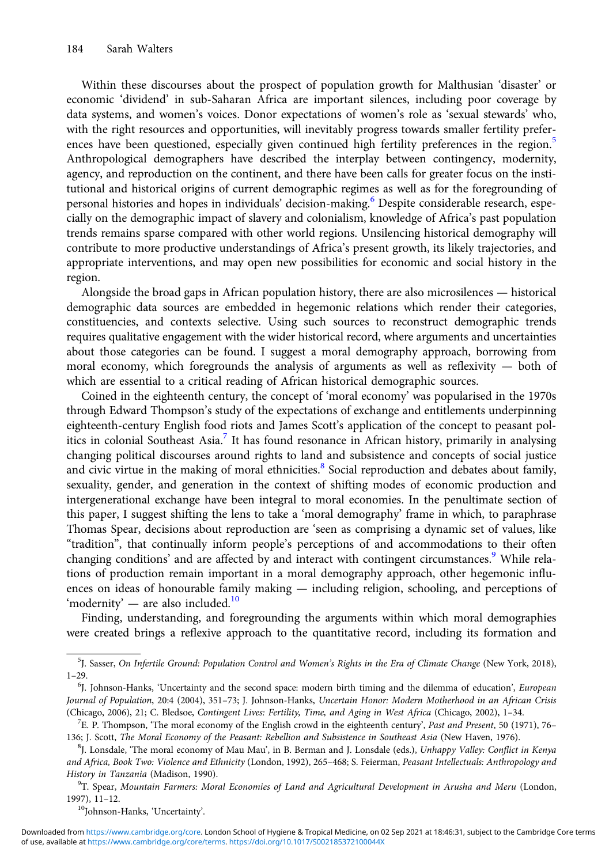Within these discourses about the prospect of population growth for Malthusian 'disaster' or economic 'dividend' in sub-Saharan Africa are important silences, including poor coverage by data systems, and women's voices. Donor expectations of women's role as 'sexual stewards' who, with the right resources and opportunities, will inevitably progress towards smaller fertility preferences have been questioned, especially given continued high fertility preferences in the region.<sup>5</sup> Anthropological demographers have described the interplay between contingency, modernity, agency, and reproduction on the continent, and there have been calls for greater focus on the institutional and historical origins of current demographic regimes as well as for the foregrounding of personal histories and hopes in individuals' decision-making.<sup>6</sup> Despite considerable research, especially on the demographic impact of slavery and colonialism, knowledge of Africa's past population trends remains sparse compared with other world regions. Unsilencing historical demography will contribute to more productive understandings of Africa's present growth, its likely trajectories, and appropriate interventions, and may open new possibilities for economic and social history in the region.

Alongside the broad gaps in African population history, there are also microsilences — historical demographic data sources are embedded in hegemonic relations which render their categories, constituencies, and contexts selective. Using such sources to reconstruct demographic trends requires qualitative engagement with the wider historical record, where arguments and uncertainties about those categories can be found. I suggest a moral demography approach, borrowing from moral economy, which foregrounds the analysis of arguments as well as reflexivity — both of which are essential to a critical reading of African historical demographic sources.

Coined in the eighteenth century, the concept of 'moral economy' was popularised in the 1970s through Edward Thompson's study of the expectations of exchange and entitlements underpinning eighteenth-century English food riots and James Scott's application of the concept to peasant politics in colonial Southeast Asia.<sup>7</sup> It has found resonance in African history, primarily in analysing changing political discourses around rights to land and subsistence and concepts of social justice and civic virtue in the making of moral ethnicities.<sup>8</sup> Social reproduction and debates about family, sexuality, gender, and generation in the context of shifting modes of economic production and intergenerational exchange have been integral to moral economies. In the penultimate section of this paper, I suggest shifting the lens to take a 'moral demography' frame in which, to paraphrase Thomas Spear, decisions about reproduction are 'seen as comprising a dynamic set of values, like "tradition", that continually inform people's perceptions of and accommodations to their often changing conditions' and are affected by and interact with contingent circumstances.<sup>9</sup> While relations of production remain important in a moral demography approach, other hegemonic influences on ideas of honourable family making — including religion, schooling, and perceptions of 'modernity' — are also included. $10$ 

Finding, understanding, and foregrounding the arguments within which moral demographies were created brings a reflexive approach to the quantitative record, including its formation and

<sup>5</sup> J. Sasser, On Infertile Ground: Population Control and Women's Rights in the Era of Climate Change (New York, 2018), 1–29.

<sup>&</sup>lt;sup>6</sup>J. Johnson-Hanks, 'Uncertainty and the second space: modern birth timing and the dilemma of education', European Journal of Population, 20:4 (2004), 351–73; J. Johnson-Hanks, Uncertain Honor: Modern Motherhood in an African Crisis (Chicago, 2006), 21; C. Bledsoe, Contingent Lives: Fertility, Time, and Aging in West Africa (Chicago, 2002), 1-34.

 $E$ . P. Thompson, 'The moral economy of the English crowd in the eighteenth century', Past and Present, 50 (1971), 76– 136; J. Scott, The Moral Economy of the Peasant: Rebellion and Subsistence in Southeast Asia (New Haven, 1976). <sup>8</sup>

<sup>&</sup>lt;sup>8</sup>J. Lonsdale, 'The moral economy of Mau Mau', in B. Berman and J. Lonsdale (eds.), Unhappy Valley: Conflict in Kenya and Africa, Book Two: Violence and Ethnicity (London, 1992), 265–468; S. Feierman, Peasant Intellectuals: Anthropology and History in Tanzania (Madison, 1990).

<sup>&</sup>lt;sup>9</sup>T. Spear, Mountain Farmers: Moral Economies of Land and Agricultural Development in Arusha and Meru (London, 1997), 11–12.<br> $10J\rm{Johnson-Hanks, 'Uncertainty'.}$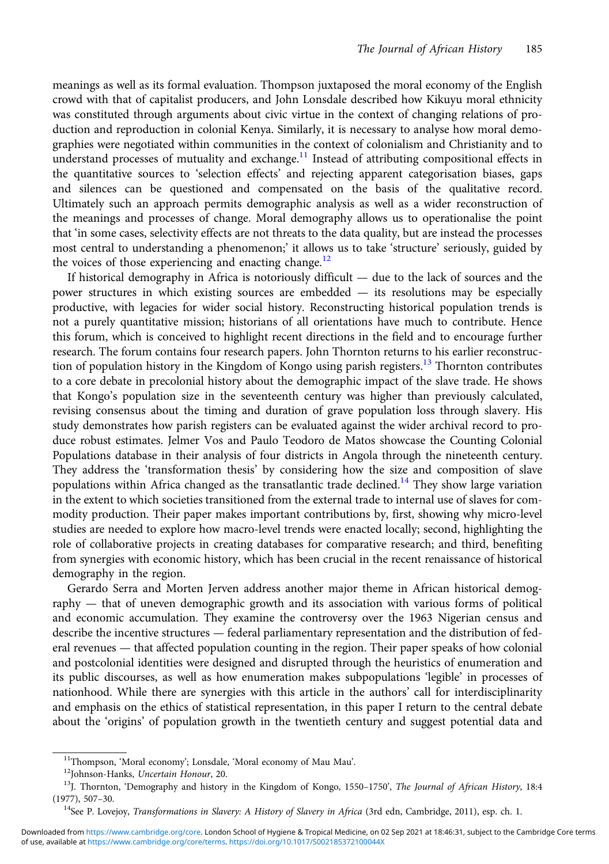meanings as well as its formal evaluation. Thompson juxtaposed the moral economy of the English crowd with that of capitalist producers, and John Lonsdale described how Kikuyu moral ethnicity was constituted through arguments about civic virtue in the context of changing relations of production and reproduction in colonial Kenya. Similarly, it is necessary to analyse how moral demographies were negotiated within communities in the context of colonialism and Christianity and to understand processes of mutuality and exchange. $<sup>11</sup>$  Instead of attributing compositional effects in</sup> the quantitative sources to 'selection effects' and rejecting apparent categorisation biases, gaps and silences can be questioned and compensated on the basis of the qualitative record. Ultimately such an approach permits demographic analysis as well as a wider reconstruction of the meanings and processes of change. Moral demography allows us to operationalise the point that 'in some cases, selectivity effects are not threats to the data quality, but are instead the processes most central to understanding a phenomenon;' it allows us to take 'structure' seriously, guided by the voices of those experiencing and enacting change.<sup>12</sup>

If historical demography in Africa is notoriously difficult — due to the lack of sources and the power structures in which existing sources are embedded — its resolutions may be especially productive, with legacies for wider social history. Reconstructing historical population trends is not a purely quantitative mission; historians of all orientations have much to contribute. Hence this forum, which is conceived to highlight recent directions in the field and to encourage further research. The forum contains four research papers. John Thornton returns to his earlier reconstruction of population history in the Kingdom of Kongo using parish registers.<sup>13</sup> Thornton contributes to a core debate in precolonial history about the demographic impact of the slave trade. He shows that Kongo's population size in the seventeenth century was higher than previously calculated, revising consensus about the timing and duration of grave population loss through slavery. His study demonstrates how parish registers can be evaluated against the wider archival record to produce robust estimates. Jelmer Vos and Paulo Teodoro de Matos showcase the Counting Colonial Populations database in their analysis of four districts in Angola through the nineteenth century. They address the 'transformation thesis' by considering how the size and composition of slave populations within Africa changed as the transatlantic trade declined.<sup>14</sup> They show large variation in the extent to which societies transitioned from the external trade to internal use of slaves for commodity production. Their paper makes important contributions by, first, showing why micro-level studies are needed to explore how macro-level trends were enacted locally; second, highlighting the role of collaborative projects in creating databases for comparative research; and third, benefiting from synergies with economic history, which has been crucial in the recent renaissance of historical demography in the region.

Gerardo Serra and Morten Jerven address another major theme in African historical demography — that of uneven demographic growth and its association with various forms of political and economic accumulation. They examine the controversy over the 1963 Nigerian census and describe the incentive structures — federal parliamentary representation and the distribution of federal revenues — that affected population counting in the region. Their paper speaks of how colonial and postcolonial identities were designed and disrupted through the heuristics of enumeration and its public discourses, as well as how enumeration makes subpopulations 'legible' in processes of nationhood. While there are synergies with this article in the authors' call for interdisciplinarity and emphasis on the ethics of statistical representation, in this paper I return to the central debate about the 'origins' of population growth in the twentieth century and suggest potential data and

<sup>&</sup>lt;sup>11</sup>Thompson, 'Moral economy'; Lonsdale, 'Moral economy of Mau Mau'. <sup>12</sup>Johnson-Hanks, Uncertain Honour, 20. <sup>12</sup>Johnson-Hanks, Uncertain Honour, 20. <sup>13</sup>J. Thornton, 'Demography and history in the Kingdom of Kongo, 1550 (1977), 507-30.<br><sup>14</sup>See P. Lovejoy, *Transformations in Slavery: A History of Slavery in Africa* (3rd edn, Cambridge, 2011), esp. ch. 1.

of use, available at [https://www.cambridge.org/core/terms.](https://www.cambridge.org/core/terms) <https://doi.org/10.1017/S002185372100044X> Downloaded from [https://www.cambridge.org/core.](https://www.cambridge.org/core) London School of Hygiene & Tropical Medicine, on 02 Sep 2021 at 18:46:31, subject to the Cambridge Core terms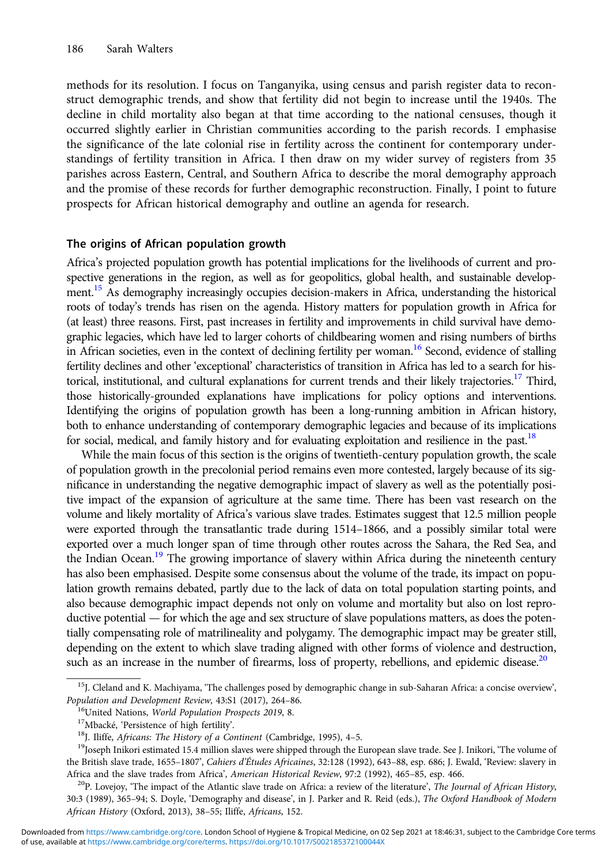methods for its resolution. I focus on Tanganyika, using census and parish register data to reconstruct demographic trends, and show that fertility did not begin to increase until the 1940s. The decline in child mortality also began at that time according to the national censuses, though it occurred slightly earlier in Christian communities according to the parish records. I emphasise the significance of the late colonial rise in fertility across the continent for contemporary understandings of fertility transition in Africa. I then draw on my wider survey of registers from 35 parishes across Eastern, Central, and Southern Africa to describe the moral demography approach and the promise of these records for further demographic reconstruction. Finally, I point to future prospects for African historical demography and outline an agenda for research.

### The origins of African population growth

Africa's projected population growth has potential implications for the livelihoods of current and prospective generations in the region, as well as for geopolitics, global health, and sustainable development.<sup>15</sup> As demography increasingly occupies decision-makers in Africa, understanding the historical roots of today's trends has risen on the agenda. History matters for population growth in Africa for (at least) three reasons. First, past increases in fertility and improvements in child survival have demographic legacies, which have led to larger cohorts of childbearing women and rising numbers of births in African societies, even in the context of declining fertility per woman.<sup>16</sup> Second, evidence of stalling fertility declines and other 'exceptional' characteristics of transition in Africa has led to a search for historical, institutional, and cultural explanations for current trends and their likely trajectories.<sup>17</sup> Third, those historically-grounded explanations have implications for policy options and interventions. Identifying the origins of population growth has been a long-running ambition in African history, both to enhance understanding of contemporary demographic legacies and because of its implications for social, medical, and family history and for evaluating exploitation and resilience in the past.<sup>18</sup>

While the main focus of this section is the origins of twentieth-century population growth, the scale of population growth in the precolonial period remains even more contested, largely because of its significance in understanding the negative demographic impact of slavery as well as the potentially positive impact of the expansion of agriculture at the same time. There has been vast research on the volume and likely mortality of Africa's various slave trades. Estimates suggest that 12.5 million people were exported through the transatlantic trade during 1514–1866, and a possibly similar total were exported over a much longer span of time through other routes across the Sahara, the Red Sea, and the Indian Ocean.<sup>19</sup> The growing importance of slavery within Africa during the nineteenth century has also been emphasised. Despite some consensus about the volume of the trade, its impact on population growth remains debated, partly due to the lack of data on total population starting points, and also because demographic impact depends not only on volume and mortality but also on lost reproductive potential — for which the age and sex structure of slave populations matters, as does the potentially compensating role of matrilineality and polygamy. The demographic impact may be greater still, depending on the extent to which slave trading aligned with other forms of violence and destruction, such as an increase in the number of firearms, loss of property, rebellions, and epidemic disease.<sup>20</sup>

 $^{15}$ J. Cleland and K. Machiyama, 'The challenges posed by demographic change in sub-Saharan Africa: a concise overview', Population and Development Review, 43:S1 (2017), 264-86.

<sup>&</sup>lt;sup>16</sup>United Nations, *World Population Prospects 2019*, 8.<br><sup>17</sup>Mbacké, 'Persistence of high fertility'.<br><sup>18</sup>J. Iliffe, *Africans: The History of a Continent* (Cambridge, 1995), 4–5.<br><sup>19</sup>Joseph Inikori estimated 15.4 million the British slave trade, 1655-1807', Cahiers d'Études Africaines, 32:128 (1992), 643-88, esp. 686; J. Ewald, 'Review: slavery in

Africa and the slave trades from Africa', American Historical Review, 97:2 (1992), 465–85, esp. 466.<br><sup>20</sup>P. Lovejoy, 'The impact of the Atlantic slave trade on Africa: a review of the literature', The Journal of African Hi 30:3 (1989), 365–94; S. Doyle, 'Demography and disease', in J. Parker and R. Reid (eds.), The Oxford Handbook of Modern African History (Oxford, 2013), 38–55; Iliffe, Africans, 152.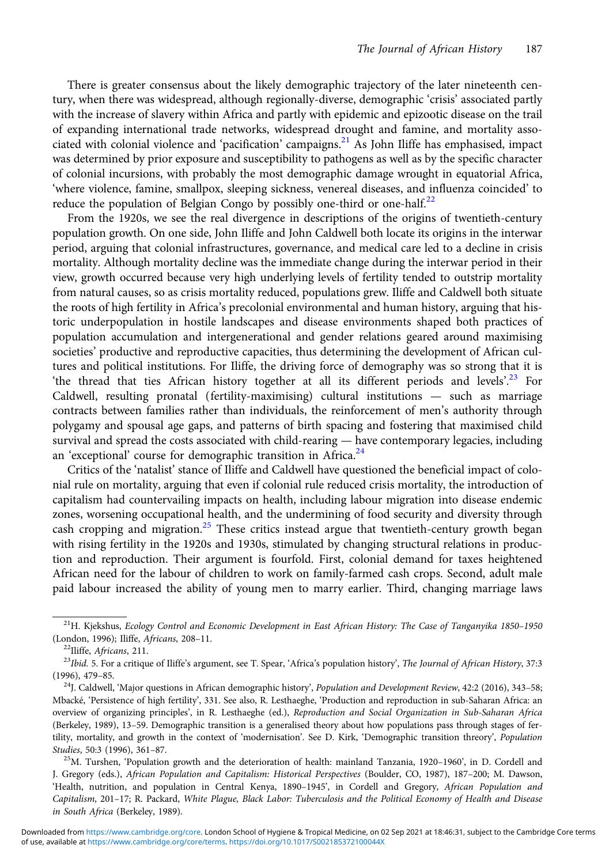There is greater consensus about the likely demographic trajectory of the later nineteenth century, when there was widespread, although regionally-diverse, demographic 'crisis' associated partly with the increase of slavery within Africa and partly with epidemic and epizootic disease on the trail of expanding international trade networks, widespread drought and famine, and mortality associated with colonial violence and 'pacification' campaigns.<sup>21</sup> As John Iliffe has emphasised, impact was determined by prior exposure and susceptibility to pathogens as well as by the specific character of colonial incursions, with probably the most demographic damage wrought in equatorial Africa, 'where violence, famine, smallpox, sleeping sickness, venereal diseases, and influenza coincided' to reduce the population of Belgian Congo by possibly one-third or one-half. $^{22}$ 

From the 1920s, we see the real divergence in descriptions of the origins of twentieth-century population growth. On one side, John Iliffe and John Caldwell both locate its origins in the interwar period, arguing that colonial infrastructures, governance, and medical care led to a decline in crisis mortality. Although mortality decline was the immediate change during the interwar period in their view, growth occurred because very high underlying levels of fertility tended to outstrip mortality from natural causes, so as crisis mortality reduced, populations grew. Iliffe and Caldwell both situate the roots of high fertility in Africa's precolonial environmental and human history, arguing that historic underpopulation in hostile landscapes and disease environments shaped both practices of population accumulation and intergenerational and gender relations geared around maximising societies' productive and reproductive capacities, thus determining the development of African cultures and political institutions. For Iliffe, the driving force of demography was so strong that it is 'the thread that ties African history together at all its different periods and levels'.<sup>23</sup> For Caldwell, resulting pronatal (fertility-maximising) cultural institutions — such as marriage contracts between families rather than individuals, the reinforcement of men's authority through polygamy and spousal age gaps, and patterns of birth spacing and fostering that maximised child survival and spread the costs associated with child-rearing — have contemporary legacies, including an 'exceptional' course for demographic transition in Africa.<sup>24</sup>

Critics of the 'natalist' stance of Iliffe and Caldwell have questioned the beneficial impact of colonial rule on mortality, arguing that even if colonial rule reduced crisis mortality, the introduction of capitalism had countervailing impacts on health, including labour migration into disease endemic zones, worsening occupational health, and the undermining of food security and diversity through cash cropping and migration.<sup>25</sup> These critics instead argue that twentieth-century growth began with rising fertility in the 1920s and 1930s, stimulated by changing structural relations in production and reproduction. Their argument is fourfold. First, colonial demand for taxes heightened African need for the labour of children to work on family-farmed cash crops. Second, adult male paid labour increased the ability of young men to marry earlier. Third, changing marriage laws

 $21$ H. Kjekshus, Ecology Control and Economic Development in East African History: The Case of Tanganyika 1850–1950 (London, 1996); Iliffe, Africans, 208–11.<br><sup>22</sup>Iliffe, Africans, 211.<br><sup>23</sup>Ibid. 5. For a critique of Iliffe's argument, see T. Spear, 'Africa's population history', *The Journal of African History*, 37:3

<sup>(1996), 479–85.&</sup>lt;br><sup>24</sup>J. Caldwell, 'Major questions in African demographic history', *Population and Development Review*, 42:2 (2016), 343–58;

Mbacké, 'Persistence of high fertility', 331. See also, R. Lesthaeghe, 'Production and reproduction in sub-Saharan Africa: an overview of organizing principles', in R. Lesthaeghe (ed.), Reproduction and Social Organization in Sub-Saharan Africa (Berkeley, 1989), 13–59. Demographic transition is a generalised theory about how populations pass through stages of fertility, mortality, and growth in the context of 'modernisation'. See D. Kirk, 'Demographic transition threory', Population Studies, 50:3 (1996), 361–87.<br><sup>25</sup>M. Turshen, 'Population growth and the deterioration of health: mainland Tanzania, 1920–1960', in D. Cordell and

J. Gregory (eds.), African Population and Capitalism: Historical Perspectives (Boulder, CO, 1987), 187–200; M. Dawson, 'Health, nutrition, and population in Central Kenya, 1890–1945', in Cordell and Gregory, African Population and Capitalism, 201–17; R. Packard, White Plague, Black Labor: Tuberculosis and the Political Economy of Health and Disease in South Africa (Berkeley, 1989).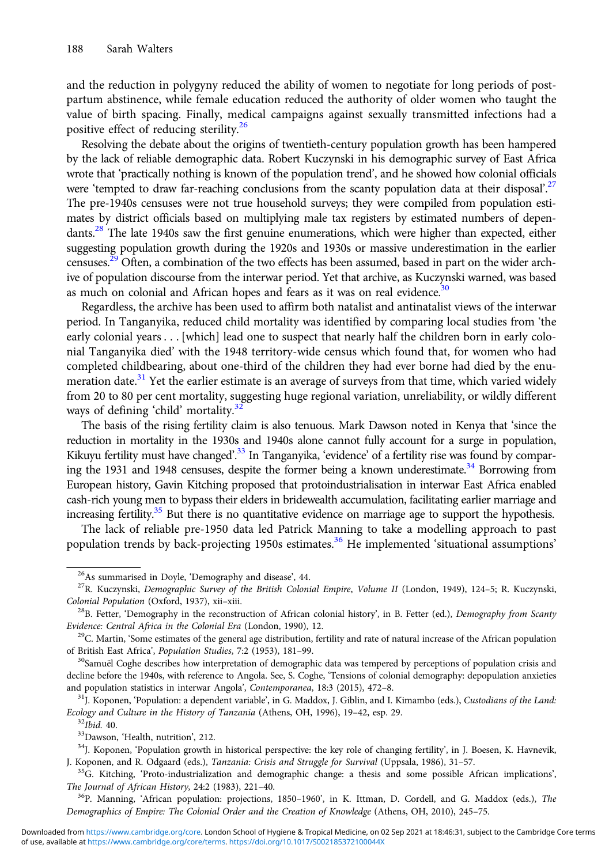and the reduction in polygyny reduced the ability of women to negotiate for long periods of postpartum abstinence, while female education reduced the authority of older women who taught the value of birth spacing. Finally, medical campaigns against sexually transmitted infections had a positive effect of reducing sterility.26

Resolving the debate about the origins of twentieth-century population growth has been hampered by the lack of reliable demographic data. Robert Kuczynski in his demographic survey of East Africa wrote that 'practically nothing is known of the population trend', and he showed how colonial officials were 'tempted to draw far-reaching conclusions from the scanty population data at their disposal'.<sup>27</sup> The pre-1940s censuses were not true household surveys; they were compiled from population estimates by district officials based on multiplying male tax registers by estimated numbers of dependants.<sup>28</sup> The late 1940s saw the first genuine enumerations, which were higher than expected, either suggesting population growth during the 1920s and 1930s or massive underestimation in the earlier censuses.<sup>29</sup> Often, a combination of the two effects has been assumed, based in part on the wider archive of population discourse from the interwar period. Yet that archive, as Kuczynski warned, was based as much on colonial and African hopes and fears as it was on real evidence.<sup>30</sup>

Regardless, the archive has been used to affirm both natalist and antinatalist views of the interwar period. In Tanganyika, reduced child mortality was identified by comparing local studies from 'the early colonial years . . . [which] lead one to suspect that nearly half the children born in early colonial Tanganyika died' with the 1948 territory-wide census which found that, for women who had completed childbearing, about one-third of the children they had ever borne had died by the enumeration date.<sup>31</sup> Yet the earlier estimate is an average of surveys from that time, which varied widely from 20 to 80 per cent mortality, suggesting huge regional variation, unreliability, or wildly different ways of defining 'child' mortality.<sup>32</sup>

The basis of the rising fertility claim is also tenuous. Mark Dawson noted in Kenya that 'since the reduction in mortality in the 1930s and 1940s alone cannot fully account for a surge in population, Kikuyu fertility must have changed'.<sup>33</sup> In Tanganyika, 'evidence' of a fertility rise was found by comparing the 1931 and 1948 censuses, despite the former being a known underestimate.<sup>34</sup> Borrowing from European history, Gavin Kitching proposed that protoindustrialisation in interwar East Africa enabled cash-rich young men to bypass their elders in bridewealth accumulation, facilitating earlier marriage and increasing fertility.<sup>35</sup> But there is no quantitative evidence on marriage age to support the hypothesis.

The lack of reliable pre-1950 data led Patrick Manning to take a modelling approach to past population trends by back-projecting 1950s estimates.<sup>36</sup> He implemented 'situational assumptions'

<sup>&</sup>lt;sup>26</sup>As summarised in Doyle, 'Demography and disease', 44.<br><sup>27</sup>R. Kuczynski, *Demographic Survey of the British Colonial Empire, Volume II* (London, 1949), 124–5; R. Kuczynski,

Colonial Population (Oxford, 1937), xii–xiii.<br><sup>28</sup>B. Fetter, 'Demography in the reconstruction of African colonial history', in B. Fetter (ed.), *Demography from Scanty*<br>Evidence: Central Africa in the Colonial Era (London

 $29$ C. Martin, 'Some estimates of the general age distribution, fertility and rate of natural increase of the African population of British East Africa', Population Studies, 7:2 (1953), 181-99.<br><sup>30</sup>Samuël Coghe describes how interpretation of demographic data was tempered by perceptions of population crisis and

decline before the 1940s, with reference to Angola. See, S. Coghe, 'Tensions of colonial demography: depopulation anxieties and population statistics in interwar Angola', *Contemporanea*, 18:3 (2015), 472–8.<br><sup>31</sup>J. Koponen, 'Population: a dependent variable', in G. Maddox, J. Giblin, and I. Kimambo (eds.), *Custodians of the Land:* 

Ecology and Culture in the History of Tanzania (Athens, OH, 1996), 19–42, esp. 29.<br><sup>32</sup>Ibid. 40.<br><sup>33</sup>Dawson, 'Health, nutrition', 212.<br><sup>34</sup>J. Koponen, 'Population growth in historical perspective: the key role of changing

J. Koponen, and R. Odgaard (eds.), *Tanzania: Crisis and Struggle for Survival* (Uppsala, 1986), 31–57. 35G. Kitching, 'Proto-industrialization and demographic change: a thesis and some possible African implications',

The Journal of African History, 24:2 (1983), 221–40.<br><sup>36</sup>P. Manning, 'African population: projections, 1850–1960', in K. Ittman, D. Cordell, and G. Maddox (eds.), *The* 

Demographics of Empire: The Colonial Order and the Creation of Knowledge (Athens, OH, 2010), 245–75.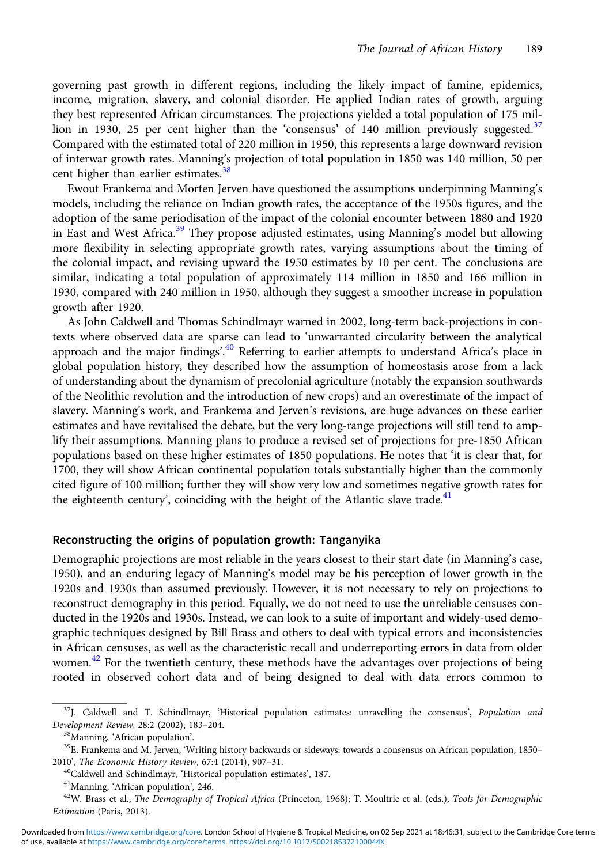governing past growth in different regions, including the likely impact of famine, epidemics, income, migration, slavery, and colonial disorder. He applied Indian rates of growth, arguing they best represented African circumstances. The projections yielded a total population of 175 million in 1930, 25 per cent higher than the 'consensus' of 140 million previously suggested.<sup>37</sup> Compared with the estimated total of 220 million in 1950, this represents a large downward revision of interwar growth rates. Manning's projection of total population in 1850 was 140 million, 50 per cent higher than earlier estimates.<sup>3</sup>

Ewout Frankema and Morten Jerven have questioned the assumptions underpinning Manning's models, including the reliance on Indian growth rates, the acceptance of the 1950s figures, and the adoption of the same periodisation of the impact of the colonial encounter between 1880 and 1920 in East and West Africa.<sup>39</sup> They propose adjusted estimates, using Manning's model but allowing more flexibility in selecting appropriate growth rates, varying assumptions about the timing of the colonial impact, and revising upward the 1950 estimates by 10 per cent. The conclusions are similar, indicating a total population of approximately 114 million in 1850 and 166 million in 1930, compared with 240 million in 1950, although they suggest a smoother increase in population growth after 1920.

As John Caldwell and Thomas Schindlmayr warned in 2002, long-term back-projections in contexts where observed data are sparse can lead to 'unwarranted circularity between the analytical approach and the major findings'.<sup>40</sup> Referring to earlier attempts to understand Africa's place in global population history, they described how the assumption of homeostasis arose from a lack of understanding about the dynamism of precolonial agriculture (notably the expansion southwards of the Neolithic revolution and the introduction of new crops) and an overestimate of the impact of slavery. Manning's work, and Frankema and Jerven's revisions, are huge advances on these earlier estimates and have revitalised the debate, but the very long-range projections will still tend to amplify their assumptions. Manning plans to produce a revised set of projections for pre-1850 African populations based on these higher estimates of 1850 populations. He notes that 'it is clear that, for 1700, they will show African continental population totals substantially higher than the commonly cited figure of 100 million; further they will show very low and sometimes negative growth rates for the eighteenth century', coinciding with the height of the Atlantic slave trade. $41$ 

## Reconstructing the origins of population growth: Tanganyika

Demographic projections are most reliable in the years closest to their start date (in Manning's case, 1950), and an enduring legacy of Manning's model may be his perception of lower growth in the 1920s and 1930s than assumed previously. However, it is not necessary to rely on projections to reconstruct demography in this period. Equally, we do not need to use the unreliable censuses conducted in the 1920s and 1930s. Instead, we can look to a suite of important and widely-used demographic techniques designed by Bill Brass and others to deal with typical errors and inconsistencies in African censuses, as well as the characteristic recall and underreporting errors in data from older women.<sup>42</sup> For the twentieth century, these methods have the advantages over projections of being rooted in observed cohort data and of being designed to deal with data errors common to

<sup>&</sup>lt;sup>37</sup>J. Caldwell and T. Schindlmayr, 'Historical population estimates: unravelling the consensus', Population and Development Review, 28:2 (2002), 183–204.<br><sup>38</sup>Manning, 'African population'.<br><sup>39</sup>E. Frankema and M. Jerven, 'Writing history backwards or sideways: towards a consensus on African population, 1850–

<sup>2010&#</sup>x27;, *The Economic History Review*, 67:4 (2014), 907–31.<br><sup>40</sup>Caldwell and Schindlmayr, 'Historical population estimates', 187.<br><sup>41</sup>Manning, 'African population', 246.<br><sup>42</sup>W. Brass et al., *The Demography of Tropical Afri* 

Estimation (Paris, 2013).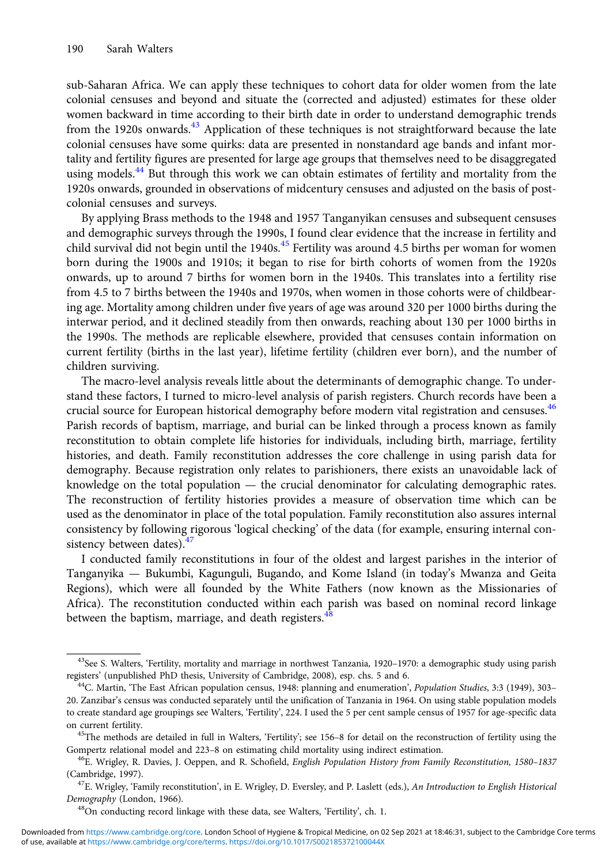sub-Saharan Africa. We can apply these techniques to cohort data for older women from the late colonial censuses and beyond and situate the (corrected and adjusted) estimates for these older women backward in time according to their birth date in order to understand demographic trends from the 1920s onwards.<sup>43</sup> Application of these techniques is not straightforward because the late colonial censuses have some quirks: data are presented in nonstandard age bands and infant mortality and fertility figures are presented for large age groups that themselves need to be disaggregated using models.<sup>44</sup> But through this work we can obtain estimates of fertility and mortality from the 1920s onwards, grounded in observations of midcentury censuses and adjusted on the basis of postcolonial censuses and surveys.

By applying Brass methods to the 1948 and 1957 Tanganyikan censuses and subsequent censuses and demographic surveys through the 1990s, I found clear evidence that the increase in fertility and child survival did not begin until the 1940s.<sup>45</sup> Fertility was around 4.5 births per woman for women born during the 1900s and 1910s; it began to rise for birth cohorts of women from the 1920s onwards, up to around 7 births for women born in the 1940s. This translates into a fertility rise from 4.5 to 7 births between the 1940s and 1970s, when women in those cohorts were of childbearing age. Mortality among children under five years of age was around 320 per 1000 births during the interwar period, and it declined steadily from then onwards, reaching about 130 per 1000 births in the 1990s. The methods are replicable elsewhere, provided that censuses contain information on current fertility (births in the last year), lifetime fertility (children ever born), and the number of children surviving.

The macro-level analysis reveals little about the determinants of demographic change. To understand these factors, I turned to micro-level analysis of parish registers. Church records have been a crucial source for European historical demography before modern vital registration and censuses.<sup>46</sup> Parish records of baptism, marriage, and burial can be linked through a process known as family reconstitution to obtain complete life histories for individuals, including birth, marriage, fertility histories, and death. Family reconstitution addresses the core challenge in using parish data for demography. Because registration only relates to parishioners, there exists an unavoidable lack of knowledge on the total population — the crucial denominator for calculating demographic rates. The reconstruction of fertility histories provides a measure of observation time which can be used as the denominator in place of the total population. Family reconstitution also assures internal consistency by following rigorous 'logical checking' of the data (for example, ensuring internal consistency between dates). $47$ 

I conducted family reconstitutions in four of the oldest and largest parishes in the interior of Tanganyika — Bukumbi, Kagunguli, Bugando, and Kome Island (in today's Mwanza and Geita Regions), which were all founded by the White Fathers (now known as the Missionaries of Africa). The reconstitution conducted within each parish was based on nominal record linkage between the baptism, marriage, and death registers.  $48$ 

<sup>&</sup>lt;sup>43</sup>See S. Walters, 'Fertility, mortality and marriage in northwest Tanzania, 1920–1970: a demographic study using parish registers' (unpublished PhD thesis, University of Cambridge, 2008), esp. chs. 5 and 6.

<sup>&</sup>lt;sup>44</sup>C. Martin, 'The East African population census, 1948: planning and enumeration', Population Studies, 3:3 (1949), 303– 20. Zanzibar's census was conducted separately until the unification of Tanzania in 1964. On using stable population models to create standard age groupings see Walters, 'Fertility', 224. I used the 5 per cent sample census of 1957 for age-specific data on current fertility.<br><sup>45</sup>The methods are detailed in full in Walters, 'Fertility'; see 156–8 for detail on the reconstruction of fertility using the

Gompertz relational model and 223–8 on estimating child mortality using indirect estimation.<br><sup>46</sup>E. Wrigley, R. Davies, J. Oeppen, and R. Schofield, *English Population History from Family Reconstitution*, 1580–1837

<sup>(</sup>Cambridge, 1997).<br><sup>47</sup>E. Wrigley, 'Family reconstitution', in E. Wrigley, D. Eversley, and P. Laslett (eds.), *An Introduction to English Historical* 

Demography (London, 1966).  $^{48}$ On conducting record linkage with these data, see Walters, 'Fertility', ch. 1.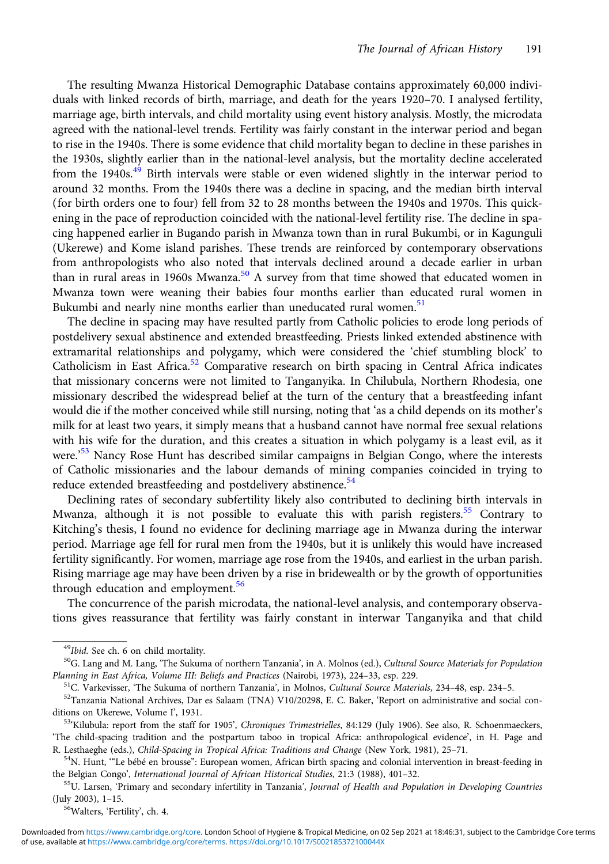The resulting Mwanza Historical Demographic Database contains approximately 60,000 individuals with linked records of birth, marriage, and death for the years 1920–70. I analysed fertility, marriage age, birth intervals, and child mortality using event history analysis. Mostly, the microdata agreed with the national-level trends. Fertility was fairly constant in the interwar period and began to rise in the 1940s. There is some evidence that child mortality began to decline in these parishes in the 1930s, slightly earlier than in the national-level analysis, but the mortality decline accelerated from the 1940s.<sup>49</sup> Birth intervals were stable or even widened slightly in the interwar period to around 32 months. From the 1940s there was a decline in spacing, and the median birth interval (for birth orders one to four) fell from 32 to 28 months between the 1940s and 1970s. This quickening in the pace of reproduction coincided with the national-level fertility rise. The decline in spacing happened earlier in Bugando parish in Mwanza town than in rural Bukumbi, or in Kagunguli (Ukerewe) and Kome island parishes. These trends are reinforced by contemporary observations from anthropologists who also noted that intervals declined around a decade earlier in urban than in rural areas in 1960s Mwanza.<sup>50</sup> A survey from that time showed that educated women in Mwanza town were weaning their babies four months earlier than educated rural women in Bukumbi and nearly nine months earlier than uneducated rural women.<sup>51</sup>

The decline in spacing may have resulted partly from Catholic policies to erode long periods of postdelivery sexual abstinence and extended breastfeeding. Priests linked extended abstinence with extramarital relationships and polygamy, which were considered the 'chief stumbling block' to Catholicism in East Africa.<sup>52</sup> Comparative research on birth spacing in Central Africa indicates that missionary concerns were not limited to Tanganyika. In Chilubula, Northern Rhodesia, one missionary described the widespread belief at the turn of the century that a breastfeeding infant would die if the mother conceived while still nursing, noting that 'as a child depends on its mother's milk for at least two years, it simply means that a husband cannot have normal free sexual relations with his wife for the duration, and this creates a situation in which polygamy is a least evil, as it were.<sup>53</sup> Nancy Rose Hunt has described similar campaigns in Belgian Congo, where the interests of Catholic missionaries and the labour demands of mining companies coincided in trying to reduce extended breastfeeding and postdelivery abstinence.<sup>54</sup>

Declining rates of secondary subfertility likely also contributed to declining birth intervals in Mwanza, although it is not possible to evaluate this with parish registers.<sup>55</sup> Contrary to Kitching's thesis, I found no evidence for declining marriage age in Mwanza during the interwar period. Marriage age fell for rural men from the 1940s, but it is unlikely this would have increased fertility significantly. For women, marriage age rose from the 1940s, and earliest in the urban parish. Rising marriage age may have been driven by a rise in bridewealth or by the growth of opportunities through education and employment.<sup>56</sup>

The concurrence of the parish microdata, the national-level analysis, and contemporary observations gives reassurance that fertility was fairly constant in interwar Tanganyika and that child

<sup>&</sup>lt;sup>49</sup>Ibid. See ch. 6 on child mortality.<br><sup>50</sup>G. Lang and M. Lang, 'The Sukuma of northern Tanzania', in A. Molnos (ed.), *Cultural Source Materials for Population* Planning in East Africa, Volume III: Beliefs and Practices (Nairobi, 1973), 224–33, esp. 229.<br><sup>51</sup>C. Varkevisser, 'The Sukuma of northern Tanzania', in Molnos, Cultural Source Materials, 234–48, esp. 234–5.<br><sup>52</sup>Tanzania Na

ditions on Ukerewe, Volume I', 1931.<br><sup>53</sup>'Kilubula: report from the staff for 1905', *Chroniques Trimestrielles*, 84:129 (July 1906). See also, R. Schoenmaeckers,

<sup>&#</sup>x27;The child-spacing tradition and the postpartum taboo in tropical Africa: anthropological evidence', in H. Page and R. Lesthaeghe (eds.), Child-Spacing in Tropical Africa: Traditions and Change (New York, 1981), 25–71.<br><sup>54</sup>N. Hunt, "Le bébé en brousse": European women, African birth spacing and colonial intervention in breast-feeding in

the Belgian Congo', *International Journal of African Historical Studies*, 21:3 (1988), 401–32.<br><sup>55</sup>U. Larsen, 'Primary and secondary infertility in Tanzania', *Journal of Health and Population in Developing Countries* 

<sup>(</sup>July 2003), 1–15.<br><sup>56</sup>Walters, 'Fertility', ch. 4.

of use, available at [https://www.cambridge.org/core/terms.](https://www.cambridge.org/core/terms) <https://doi.org/10.1017/S002185372100044X> Downloaded from [https://www.cambridge.org/core.](https://www.cambridge.org/core) London School of Hygiene & Tropical Medicine, on 02 Sep 2021 at 18:46:31, subject to the Cambridge Core terms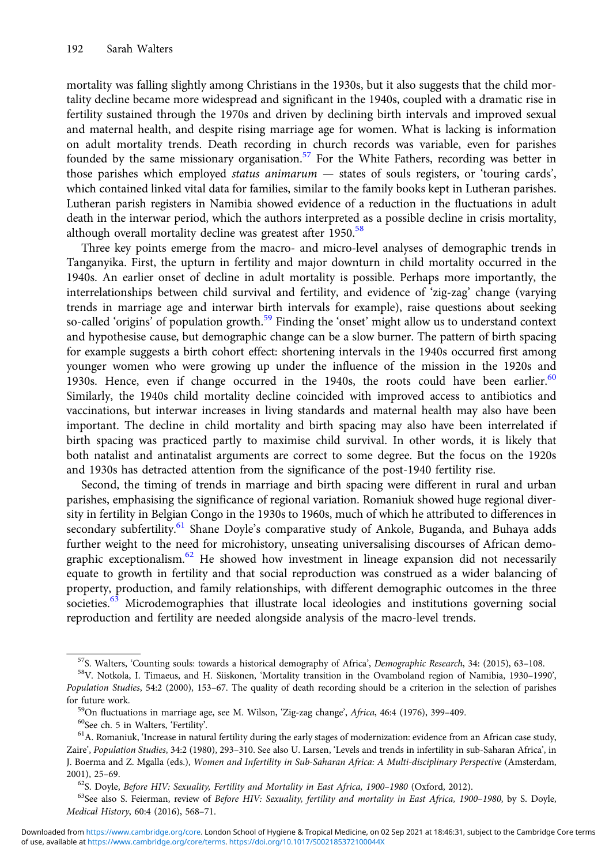mortality was falling slightly among Christians in the 1930s, but it also suggests that the child mortality decline became more widespread and significant in the 1940s, coupled with a dramatic rise in fertility sustained through the 1970s and driven by declining birth intervals and improved sexual and maternal health, and despite rising marriage age for women. What is lacking is information on adult mortality trends. Death recording in church records was variable, even for parishes founded by the same missionary organisation.<sup>57</sup> For the White Fathers, recording was better in those parishes which employed status animarum — states of souls registers, or 'touring cards', which contained linked vital data for families, similar to the family books kept in Lutheran parishes. Lutheran parish registers in Namibia showed evidence of a reduction in the fluctuations in adult death in the interwar period, which the authors interpreted as a possible decline in crisis mortality, although overall mortality decline was greatest after 1950.<sup>58</sup>

Three key points emerge from the macro- and micro-level analyses of demographic trends in Tanganyika. First, the upturn in fertility and major downturn in child mortality occurred in the 1940s. An earlier onset of decline in adult mortality is possible. Perhaps more importantly, the interrelationships between child survival and fertility, and evidence of 'zig-zag' change (varying trends in marriage age and interwar birth intervals for example), raise questions about seeking so-called 'origins' of population growth.<sup>59</sup> Finding the 'onset' might allow us to understand context and hypothesise cause, but demographic change can be a slow burner. The pattern of birth spacing for example suggests a birth cohort effect: shortening intervals in the 1940s occurred first among younger women who were growing up under the influence of the mission in the 1920s and 1930s. Hence, even if change occurred in the 1940s, the roots could have been earlier. $60$ Similarly, the 1940s child mortality decline coincided with improved access to antibiotics and vaccinations, but interwar increases in living standards and maternal health may also have been important. The decline in child mortality and birth spacing may also have been interrelated if birth spacing was practiced partly to maximise child survival. In other words, it is likely that both natalist and antinatalist arguments are correct to some degree. But the focus on the 1920s and 1930s has detracted attention from the significance of the post-1940 fertility rise.

Second, the timing of trends in marriage and birth spacing were different in rural and urban parishes, emphasising the significance of regional variation. Romaniuk showed huge regional diversity in fertility in Belgian Congo in the 1930s to 1960s, much of which he attributed to differences in secondary subfertility.<sup>61</sup> Shane Doyle's comparative study of Ankole, Buganda, and Buhaya adds further weight to the need for microhistory, unseating universalising discourses of African demographic exceptionalism.<sup>62</sup> He showed how investment in lineage expansion did not necessarily equate to growth in fertility and that social reproduction was construed as a wider balancing of property, production, and family relationships, with different demographic outcomes in the three societies.<sup>63</sup> Microdemographies that illustrate local ideologies and institutions governing social reproduction and fertility are needed alongside analysis of the macro-level trends.

<sup>&</sup>lt;sup>57</sup>S. Walters, 'Counting souls: towards a historical demography of Africa', *Demographic Research*, 34: (2015), 63–108.<br><sup>58</sup>V. Notkola, I. Timaeus, and H. Siiskonen, 'Mortality transition in the Ovamboland region of Nami

Population Studies, 54:2 (2000), 153–67. The quality of death recording should be a criterion in the selection of parishes

for future work.<br><sup>59</sup>On fluctuations in marriage age, see M. Wilson, 'Zig-zag change', *Africa*, 46:4 (1976), 399–409.<br><sup>60</sup>See ch. 5 in Walters, 'Fertility'.<br><sup>61</sup>A. Romaniuk, 'Increase in natural fertility during the earl Zaire', Population Studies, 34:2 (1980), 293–310. See also U. Larsen, 'Levels and trends in infertility in sub-Saharan Africa', in J. Boerma and Z. Mgalla (eds.), Women and Infertility in Sub-Saharan Africa: A Multi-disciplinary Perspective (Amsterdam, 2001), 25–69.<br><sup>62</sup>S. Doyle, *Before HIV: Sexuality, Fertility and Mortality in East Africa, 1900–1980* (Oxford, 2012).<br><sup>63</sup>See also S. Feierman, review of *Before HIV: Sexuality, fertility and mortality in East Africa, 190* 

Medical History, 60:4 (2016), 568–71.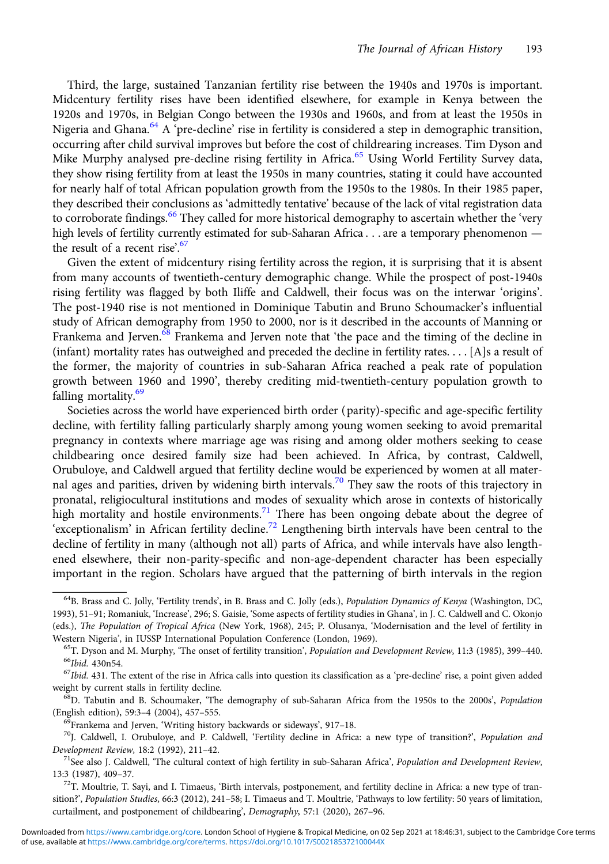Third, the large, sustained Tanzanian fertility rise between the 1940s and 1970s is important. Midcentury fertility rises have been identified elsewhere, for example in Kenya between the 1920s and 1970s, in Belgian Congo between the 1930s and 1960s, and from at least the 1950s in Nigeria and Ghana.<sup>64</sup> A 'pre-decline' rise in fertility is considered a step in demographic transition, occurring after child survival improves but before the cost of childrearing increases. Tim Dyson and Mike Murphy analysed pre-decline rising fertility in Africa.<sup>65</sup> Using World Fertility Survey data, they show rising fertility from at least the 1950s in many countries, stating it could have accounted for nearly half of total African population growth from the 1950s to the 1980s. In their 1985 paper, they described their conclusions as 'admittedly tentative' because of the lack of vital registration data to corroborate findings.<sup>66</sup> They called for more historical demography to ascertain whether the 'very high levels of fertility currently estimated for sub-Saharan Africa . . . are a temporary phenomenon the result of a recent rise'. 67

Given the extent of midcentury rising fertility across the region, it is surprising that it is absent from many accounts of twentieth-century demographic change. While the prospect of post-1940s rising fertility was flagged by both Iliffe and Caldwell, their focus was on the interwar 'origins'. The post-1940 rise is not mentioned in Dominique Tabutin and Bruno Schoumacker's influential study of African demography from 1950 to 2000, nor is it described in the accounts of Manning or Frankema and Jerven.<sup>68</sup> Frankema and Jerven note that 'the pace and the timing of the decline in (infant) mortality rates has outweighed and preceded the decline in fertility rates. . . . [A]s a result of the former, the majority of countries in sub-Saharan Africa reached a peak rate of population growth between 1960 and 1990', thereby crediting mid-twentieth-century population growth to falling mortality.<sup>69</sup>

Societies across the world have experienced birth order (parity)-specific and age-specific fertility decline, with fertility falling particularly sharply among young women seeking to avoid premarital pregnancy in contexts where marriage age was rising and among older mothers seeking to cease childbearing once desired family size had been achieved. In Africa, by contrast, Caldwell, Orubuloye, and Caldwell argued that fertility decline would be experienced by women at all maternal ages and parities, driven by widening birth intervals.<sup>70</sup> They saw the roots of this trajectory in pronatal, religiocultural institutions and modes of sexuality which arose in contexts of historically high mortality and hostile environments.<sup>71</sup> There has been ongoing debate about the degree of 'exceptionalism' in African fertility decline.72 Lengthening birth intervals have been central to the decline of fertility in many (although not all) parts of Africa, and while intervals have also lengthened elsewhere, their non-parity-specific and non-age-dependent character has been especially important in the region. Scholars have argued that the patterning of birth intervals in the region

<sup>&</sup>lt;sup>64</sup>B. Brass and C. Jolly, 'Fertility trends', in B. Brass and C. Jolly (eds.), Population Dynamics of Kenya (Washington, DC, 1993), 51–91; Romaniuk, 'Increase', 296; S. Gaisie, 'Some aspects of fertility studies in Ghana', in J. C. Caldwell and C. Okonjo (eds.), The Population of Tropical Africa (New York, 1968), 245; P. Olusanya, 'Modernisation and the level of fertility in

Western Nigeria', in IUSSP International Population Conference (London, 1969).<br><sup>65</sup>T. Dyson and M. Murphy, 'The onset of fertility transition', *Population and Development Review*, 11:3 (1985), 399–440.<br><sup>66</sup>*Ibid.* 430n54.

weight by current stalls in fertility decline.<br><sup>68</sup>D. Tabutin and B. Schoumaker, 'The demography of sub-Saharan Africa from the 1950s to the 2000s', *Population* 

<sup>(</sup>English edition), 59:3–4 (2004), 457–555.<br><sup>69</sup>Frankema and Jerven, 'Writing history backwards or sideways', 917–18.<br><sup>70</sup>J. Caldwell, I. Orubuloye, and P. Caldwell, 'Fertility decline in Africa: a new type of transition?',

Development Review, 18:2 (1992), 211–42.<br><sup>71</sup>See also J. Caldwell, 'The cultural context of high fertility in sub-Saharan Africa', *Population and Development Review*,

<sup>13:3 (1987), 409–37.&</sup>lt;br><sup>72</sup>T. Moultrie, T. Sayi, and I. Timaeus, 'Birth intervals, postponement, and fertility decline in Africa: a new type of tran-

sition?', Population Studies, 66:3 (2012), 241-58; I. Timaeus and T. Moultrie, 'Pathways to low fertility: 50 years of limitation, curtailment, and postponement of childbearing', Demography, 57:1 (2020), 267–96.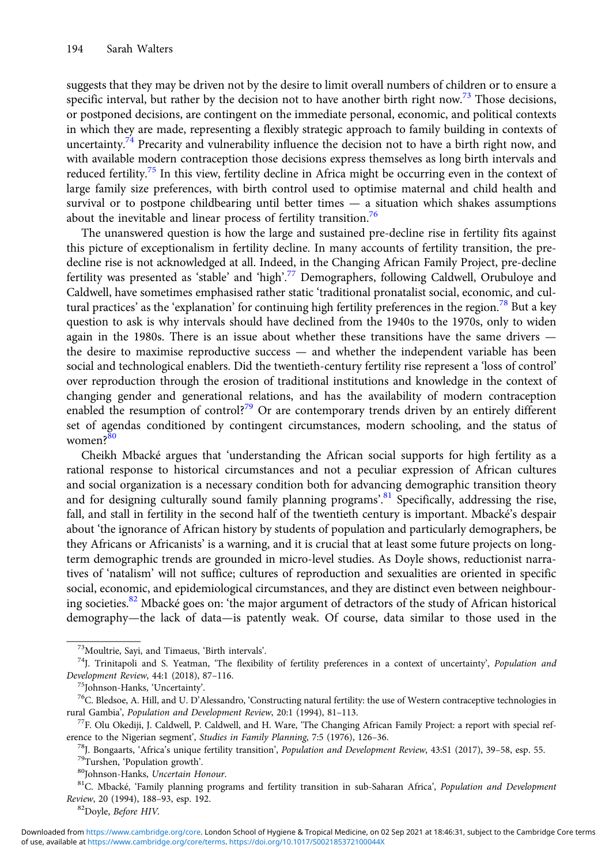suggests that they may be driven not by the desire to limit overall numbers of children or to ensure a specific interval, but rather by the decision not to have another birth right now.<sup>73</sup> Those decisions, or postponed decisions, are contingent on the immediate personal, economic, and political contexts in which they are made, representing a flexibly strategic approach to family building in contexts of uncertainty.<sup>74</sup> Precarity and vulnerability influence the decision not to have a birth right now, and with available modern contraception those decisions express themselves as long birth intervals and reduced fertility.<sup>75</sup> In this view, fertility decline in Africa might be occurring even in the context of large family size preferences, with birth control used to optimise maternal and child health and survival or to postpone childbearing until better times — a situation which shakes assumptions about the inevitable and linear process of fertility transition.<sup>76</sup>

The unanswered question is how the large and sustained pre-decline rise in fertility fits against this picture of exceptionalism in fertility decline. In many accounts of fertility transition, the predecline rise is not acknowledged at all. Indeed, in the Changing African Family Project, pre-decline fertility was presented as 'stable' and 'high'.<sup>77</sup> Demographers, following Caldwell, Orubuloye and Caldwell, have sometimes emphasised rather static 'traditional pronatalist social, economic, and cultural practices' as the 'explanation' for continuing high fertility preferences in the region.<sup>78</sup> But a key question to ask is why intervals should have declined from the 1940s to the 1970s, only to widen again in the 1980s. There is an issue about whether these transitions have the same drivers  $$ the desire to maximise reproductive success — and whether the independent variable has been social and technological enablers. Did the twentieth-century fertility rise represent a 'loss of control' over reproduction through the erosion of traditional institutions and knowledge in the context of changing gender and generational relations, and has the availability of modern contraception enabled the resumption of control?<sup>79</sup> Or are contemporary trends driven by an entirely different set of agendas conditioned by contingent circumstances, modern schooling, and the status of women?<sup>80</sup>

Cheikh Mbacké argues that 'understanding the African social supports for high fertility as a rational response to historical circumstances and not a peculiar expression of African cultures and social organization is a necessary condition both for advancing demographic transition theory and for designing culturally sound family planning programs'.<sup>81</sup> Specifically, addressing the rise, fall, and stall in fertility in the second half of the twentieth century is important. Mbacké's despair about 'the ignorance of African history by students of population and particularly demographers, be they Africans or Africanists' is a warning, and it is crucial that at least some future projects on longterm demographic trends are grounded in micro-level studies. As Doyle shows, reductionist narratives of 'natalism' will not suffice; cultures of reproduction and sexualities are oriented in specific social, economic, and epidemiological circumstances, and they are distinct even between neighbouring societies.<sup>82</sup> Mbacké goes on: 'the major argument of detractors of the study of African historical demography—the lack of data—is patently weak. Of course, data similar to those used in the

<sup>&</sup>lt;sup>73</sup>Moultrie, Sayi, and Timaeus, 'Birth intervals'.<br><sup>74</sup>J. Trinitapoli and S. Yeatman, 'The flexibility of fertility preferences in a context of uncertainty', *Population and*<br>Development Review, 44:1 (2018), 87-116.

<sup>&</sup>lt;sup>75</sup>Johnson-Hanks, 'Uncertainty'.<br><sup>76</sup>C. Bledsoe, A. Hill, and U. D'Alessandro, 'Constructing natural fertility: the use of Western contraceptive technologies in rural Gambia', Population and Development Review, 20:1 (1994), 81-113.<br><sup>77</sup>F. Olu Okediji, J. Caldwell, P. Caldwell, and H. Ware, 'The Changing African Family Project: a report with special ref-

erence to the Nigerian segment', *Studies in Family Planning*, 7:5 (1976), 126–36.<br><sup>78</sup>J. Bongaarts, 'Africa's unique fertility transition', *Population and Development Review*, 43:S1 (2017), 39–58, esp. 55.<br><sup>79</sup>Turshen, '

Review, 20 (1994), 188-93, esp. 192.<br><sup>82</sup>Doyle, *Before HIV*.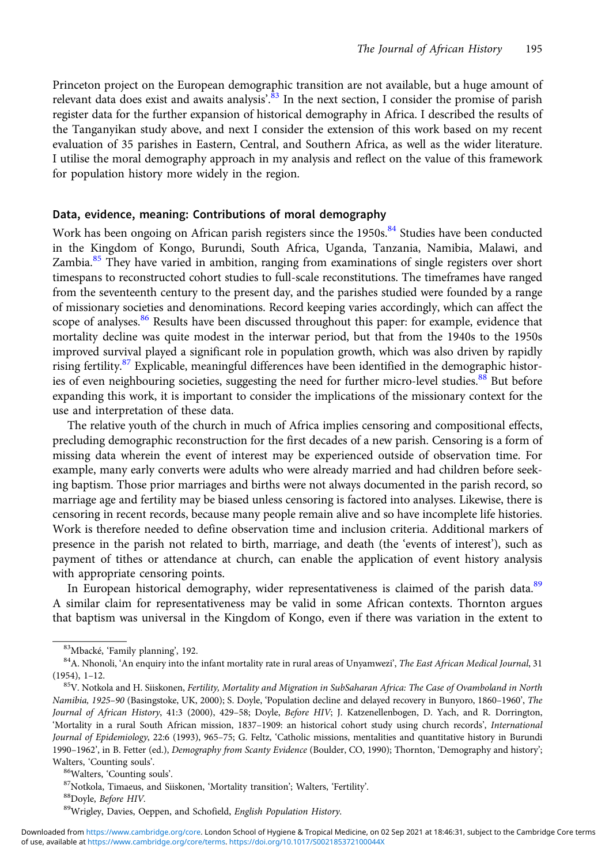Princeton project on the European demographic transition are not available, but a huge amount of relevant data does exist and awaits analysis'.<sup>83</sup> In the next section, I consider the promise of parish register data for the further expansion of historical demography in Africa. I described the results of the Tanganyikan study above, and next I consider the extension of this work based on my recent evaluation of 35 parishes in Eastern, Central, and Southern Africa, as well as the wider literature. I utilise the moral demography approach in my analysis and reflect on the value of this framework for population history more widely in the region.

## Data, evidence, meaning: Contributions of moral demography

Work has been ongoing on African parish registers since the 1950s.<sup>84</sup> Studies have been conducted in the Kingdom of Kongo, Burundi, South Africa, Uganda, Tanzania, Namibia, Malawi, and Zambia.<sup>85</sup> They have varied in ambition, ranging from examinations of single registers over short timespans to reconstructed cohort studies to full-scale reconstitutions. The timeframes have ranged from the seventeenth century to the present day, and the parishes studied were founded by a range of missionary societies and denominations. Record keeping varies accordingly, which can affect the scope of analyses.<sup>86</sup> Results have been discussed throughout this paper: for example, evidence that mortality decline was quite modest in the interwar period, but that from the 1940s to the 1950s improved survival played a significant role in population growth, which was also driven by rapidly rising fertility.<sup>87</sup> Explicable, meaningful differences have been identified in the demographic histories of even neighbouring societies, suggesting the need for further micro-level studies.<sup>88</sup> But before expanding this work, it is important to consider the implications of the missionary context for the use and interpretation of these data.

The relative youth of the church in much of Africa implies censoring and compositional effects, precluding demographic reconstruction for the first decades of a new parish. Censoring is a form of missing data wherein the event of interest may be experienced outside of observation time. For example, many early converts were adults who were already married and had children before seeking baptism. Those prior marriages and births were not always documented in the parish record, so marriage age and fertility may be biased unless censoring is factored into analyses. Likewise, there is censoring in recent records, because many people remain alive and so have incomplete life histories. Work is therefore needed to define observation time and inclusion criteria. Additional markers of presence in the parish not related to birth, marriage, and death (the 'events of interest'), such as payment of tithes or attendance at church, can enable the application of event history analysis with appropriate censoring points.

In European historical demography, wider representativeness is claimed of the parish data.<sup>89</sup> A similar claim for representativeness may be valid in some African contexts. Thornton argues that baptism was universal in the Kingdom of Kongo, even if there was variation in the extent to

<sup>&</sup>lt;sup>83</sup>Mbacké, 'Family planning', 192.<br><sup>84</sup>A. Nhonoli, 'An enquiry into the infant mortality rate in rural areas of Unyamwezi', *The East African Medical Journal*, 31 (1954), 1–12.<br><sup>85</sup>V. Notkola and H. Siiskonen, *Fertility, Mortality and Migration in SubSaharan Africa: The Case of Ovamboland in North* 

Namibia, 1925–90 (Basingstoke, UK, 2000); S. Doyle, 'Population decline and delayed recovery in Bunyoro, 1860–1960', The Journal of African History, 41:3 (2000), 429–58; Doyle, Before HIV; J. Katzenellenbogen, D. Yach, and R. Dorrington, 'Mortality in a rural South African mission, 1837–1909: an historical cohort study using church records', International Journal of Epidemiology, 22:6 (1993), 965–75; G. Feltz, 'Catholic missions, mentalities and quantitative history in Burundi 1990–1962', in B. Fetter (ed.), Demography from Scanty Evidence (Boulder, CO, 1990); Thornton, 'Demography and history'; Walters, 'Counting souls'.<br><sup>86</sup>Walters, 'Counting souls'.<br><sup>87</sup>Notkola, Timaeus, and Siiskonen, 'Mortality transition'; Walters, 'Fertility'.<br><sup>88</sup>Doyle, *Before HIV*.<br><sup>89</sup>Wrigley, Davies, Oeppen, and Schofield, *English Pop*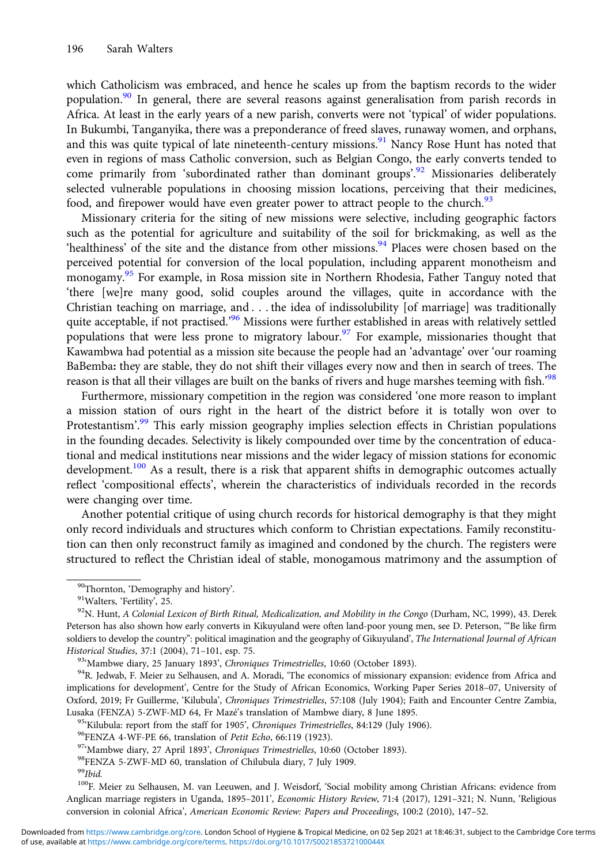which Catholicism was embraced, and hence he scales up from the baptism records to the wider population.<sup>90</sup> In general, there are several reasons against generalisation from parish records in Africa. At least in the early years of a new parish, converts were not 'typical' of wider populations. In Bukumbi, Tanganyika, there was a preponderance of freed slaves, runaway women, and orphans, and this was quite typical of late nineteenth-century missions.<sup>91</sup> Nancy Rose Hunt has noted that even in regions of mass Catholic conversion, such as Belgian Congo, the early converts tended to come primarily from 'subordinated rather than dominant groups'.<sup>92</sup> Missionaries deliberately selected vulnerable populations in choosing mission locations, perceiving that their medicines, food, and firepower would have even greater power to attract people to the church.<sup>93</sup>

Missionary criteria for the siting of new missions were selective, including geographic factors such as the potential for agriculture and suitability of the soil for brickmaking, as well as the 'healthiness' of the site and the distance from other missions.<sup>94</sup> Places were chosen based on the perceived potential for conversion of the local population, including apparent monotheism and monogamy.95 For example, in Rosa mission site in Northern Rhodesia, Father Tanguy noted that 'there [we]re many good, solid couples around the villages, quite in accordance with the Christian teaching on marriage, and . . . the idea of indissolubility [of marriage] was traditionally quite acceptable, if not practised.<sup>96</sup> Missions were further established in areas with relatively settled populations that were less prone to migratory labour.<sup>97</sup> For example, missionaries thought that Kawambwa had potential as a mission site because the people had an 'advantage' over 'our roaming BaBemba: they are stable, they do not shift their villages every now and then in search of trees. The reason is that all their villages are built on the banks of rivers and huge marshes teeming with fish.<sup>'98</sup>

Furthermore, missionary competition in the region was considered 'one more reason to implant a mission station of ours right in the heart of the district before it is totally won over to Protestantism'.<sup>99</sup> This early mission geography implies selection effects in Christian populations in the founding decades. Selectivity is likely compounded over time by the concentration of educational and medical institutions near missions and the wider legacy of mission stations for economic development.<sup>100</sup> As a result, there is a risk that apparent shifts in demographic outcomes actually reflect 'compositional effects', wherein the characteristics of individuals recorded in the records were changing over time.

Another potential critique of using church records for historical demography is that they might only record individuals and structures which conform to Christian expectations. Family reconstitution can then only reconstruct family as imagined and condoned by the church. The registers were structured to reflect the Christian ideal of stable, monogamous matrimony and the assumption of

100F. Meier zu Selhausen, M. van Leeuwen, and J. Weisdorf, 'Social mobility among Christian Africans: evidence from Anglican marriage registers in Uganda, 1895–2011', Economic History Review, 71:4 (2017), 1291–321; N. Nunn, 'Religious conversion in colonial Africa', American Economic Review: Papers and Proceedings, 100:2 (2010), 147–52.

<sup>&</sup>lt;sup>90</sup>Thornton, 'Demography and history'.<br><sup>91</sup>Walters, 'Fertility', 25.<br><sup>92</sup>N. Hunt, *A Colonial Lexicon of Birth Ritual, Medicalization, and Mobility in the Congo (Durham, NC, 1999), 43. Derek* Peterson has also shown how early converts in Kikuyuland were often land-poor young men, see D. Peterson, '"Be like firm soldiers to develop the country": political imagination and the geography of Gikuyuland', The International Journal of African Historical Studies, 37:1 (2004), 71–101, esp. 75.<br><sup>93</sup> Mambwe diary, 25 January 1893', *Chroniques Trimestrielles*, 10:60 (October 1893).<br><sup>94</sup>R. Jedwab, F. Meier zu Selhausen, and A. Moradi, 'The economics of missionary ex

implications for development', Centre for the Study of African Economics, Working Paper Series 2018–07, University of Oxford, 2019; Fr Guillerme, 'Kilubula', Chroniques Trimestrielles, 57:108 (July 1904); Faith and Encounter Centre Zambia,

Lusaka (FENZA) 5-ZWF-MD 64, Fr Mazé's translation of Mambwe diary, 8 June 1895.<br><sup>95</sup>'Kilubula: report from the staff for 1905', *Chroniques Trimestrielles*, 84:129 (July 1906).<br><sup>96</sup>FENZA 4-WF-PE 66, translation of *Petit* 

 $^{99}Ibid.$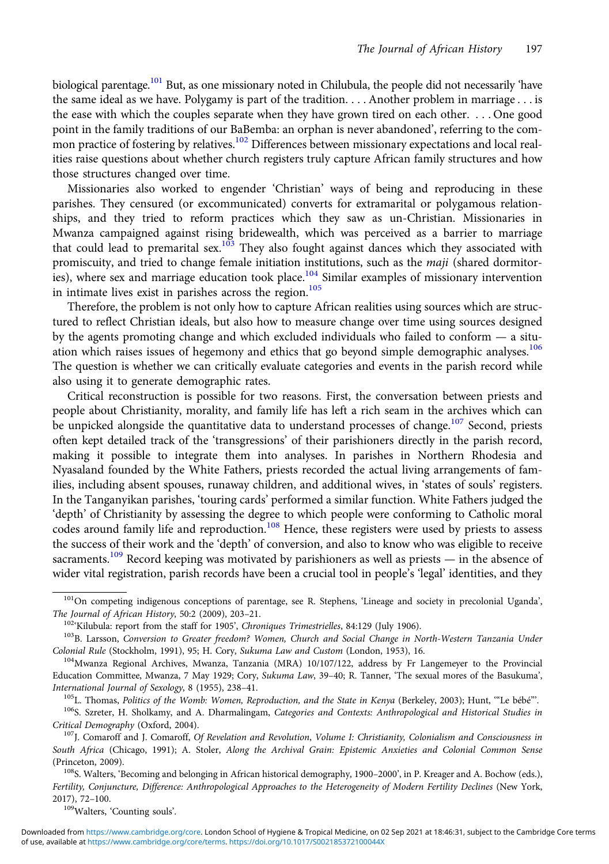biological parentage.<sup>101</sup> But, as one missionary noted in Chilubula, the people did not necessarily 'have the same ideal as we have. Polygamy is part of the tradition.... Another problem in marriage . . . is the ease with which the couples separate when they have grown tired on each other. . . . One good point in the family traditions of our BaBemba: an orphan is never abandoned', referring to the common practice of fostering by relatives.<sup>102</sup> Differences between missionary expectations and local realities raise questions about whether church registers truly capture African family structures and how those structures changed over time.

Missionaries also worked to engender 'Christian' ways of being and reproducing in these parishes. They censured (or excommunicated) converts for extramarital or polygamous relationships, and they tried to reform practices which they saw as un-Christian. Missionaries in Mwanza campaigned against rising bridewealth, which was perceived as a barrier to marriage that could lead to premarital sex.<sup>103</sup> They also fought against dances which they associated with promiscuity, and tried to change female initiation institutions, such as the *maji* (shared dormitories), where sex and marriage education took place.<sup>104</sup> Similar examples of missionary intervention in intimate lives exist in parishes across the region.<sup>105</sup>

Therefore, the problem is not only how to capture African realities using sources which are structured to reflect Christian ideals, but also how to measure change over time using sources designed by the agents promoting change and which excluded individuals who failed to conform — a situation which raises issues of hegemony and ethics that go beyond simple demographic analyses.<sup>106</sup> The question is whether we can critically evaluate categories and events in the parish record while also using it to generate demographic rates.

Critical reconstruction is possible for two reasons. First, the conversation between priests and people about Christianity, morality, and family life has left a rich seam in the archives which can be unpicked alongside the quantitative data to understand processes of change.<sup>107</sup> Second, priests often kept detailed track of the 'transgressions' of their parishioners directly in the parish record, making it possible to integrate them into analyses. In parishes in Northern Rhodesia and Nyasaland founded by the White Fathers, priests recorded the actual living arrangements of families, including absent spouses, runaway children, and additional wives, in 'states of souls' registers. In the Tanganyikan parishes, 'touring cards' performed a similar function. White Fathers judged the 'depth' of Christianity by assessing the degree to which people were conforming to Catholic moral codes around family life and reproduction.<sup>108</sup> Hence, these registers were used by priests to assess the success of their work and the 'depth' of conversion, and also to know who was eligible to receive sacraments.<sup>109</sup> Record keeping was motivated by parishioners as well as priests — in the absence of wider vital registration, parish records have been a crucial tool in people's 'legal' identities, and they

<sup>&</sup>lt;sup>101</sup>On competing indigenous conceptions of parentage, see R. Stephens, 'Lineage and society in precolonial Uganda', The Journal of African History, 50:2 (2009), 203–21.<br><sup>102</sup> Kilubula: report from the staff for 1905', Chroniques Trimestrielles, 84:129 (July 1906).<br><sup>103</sup>B. Larsson, Conversion to Greater freedom? Women, Church and Social

Colonial Rule (Stockholm, 1991), 95; H. Cory, Sukuma Law and Custom (London, 1953), 16.<br><sup>104</sup>Mwanza Regional Archives, Mwanza, Tanzania (MRA) 10/107/122, address by Fr Langemeyer to the Provincial

Education Committee, Mwanza, 7 May 1929; Cory, Sukuma Law, 39-40; R. Tanner, 'The sexual mores of the Basukuma',

International Journal of Sexology, 8 (1955), 238–41.<br><sup>105</sup>L. Thomas, *Politics of the Womb: Women, Reproduction, and the State in Kenya* (Berkeley, 2003); Hunt, "Le bébé".<br><sup>106</sup>S. Szreter, H. Sholkamy, and A. Dharmalingam, Critical Demography (Oxford, 2004).<br><sup>107</sup>J. Comaroff and J. Comaroff, Of Revelation and Revolution, Volume I: Christianity, Colonialism and Consciousness in

South Africa (Chicago, 1991); A. Stoler, Along the Archival Grain: Epistemic Anxieties and Colonial Common Sense (Princeton, 2009).<br><sup>108</sup>S. Walters, 'Becoming and belonging in African historical demography, 1900–2000', in P. Kreager and A. Bochow (eds.),

Fertility, Conjuncture, Difference: Anthropological Approaches to the Heterogeneity of Modern Fertility Declines (New York, 2017), 72–100. 109Walters, 'Counting souls'.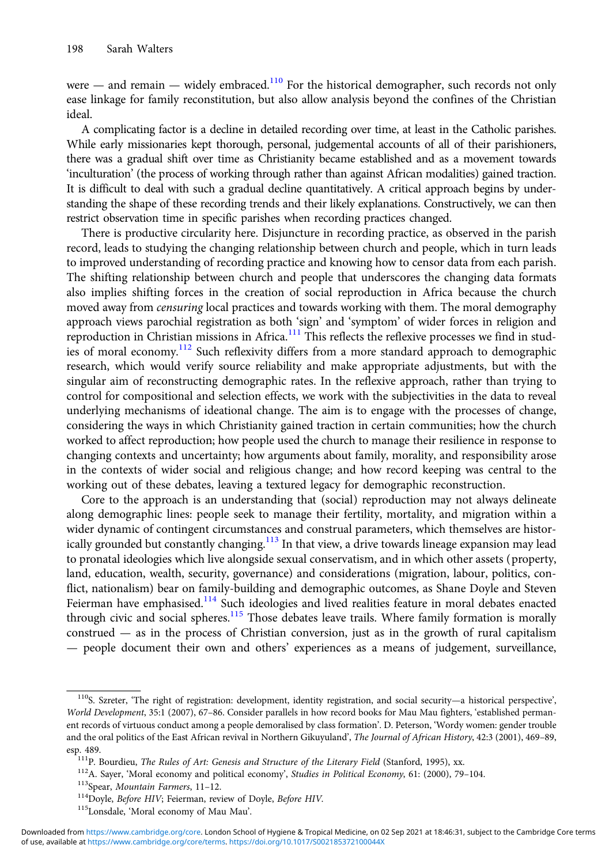were — and remain — widely embraced.<sup>110</sup> For the historical demographer, such records not only ease linkage for family reconstitution, but also allow analysis beyond the confines of the Christian ideal.

A complicating factor is a decline in detailed recording over time, at least in the Catholic parishes. While early missionaries kept thorough, personal, judgemental accounts of all of their parishioners, there was a gradual shift over time as Christianity became established and as a movement towards 'inculturation' (the process of working through rather than against African modalities) gained traction. It is difficult to deal with such a gradual decline quantitatively. A critical approach begins by understanding the shape of these recording trends and their likely explanations. Constructively, we can then restrict observation time in specific parishes when recording practices changed.

There is productive circularity here. Disjuncture in recording practice, as observed in the parish record, leads to studying the changing relationship between church and people, which in turn leads to improved understanding of recording practice and knowing how to censor data from each parish. The shifting relationship between church and people that underscores the changing data formats also implies shifting forces in the creation of social reproduction in Africa because the church moved away from *censuring* local practices and towards working with them. The moral demography approach views parochial registration as both 'sign' and 'symptom' of wider forces in religion and reproduction in Christian missions in Africa.<sup>111</sup> This reflects the reflexive processes we find in studies of moral economy.<sup>112</sup> Such reflexivity differs from a more standard approach to demographic research, which would verify source reliability and make appropriate adjustments, but with the singular aim of reconstructing demographic rates. In the reflexive approach, rather than trying to control for compositional and selection effects, we work with the subjectivities in the data to reveal underlying mechanisms of ideational change. The aim is to engage with the processes of change, considering the ways in which Christianity gained traction in certain communities; how the church worked to affect reproduction; how people used the church to manage their resilience in response to changing contexts and uncertainty; how arguments about family, morality, and responsibility arose in the contexts of wider social and religious change; and how record keeping was central to the working out of these debates, leaving a textured legacy for demographic reconstruction.

Core to the approach is an understanding that (social) reproduction may not always delineate along demographic lines: people seek to manage their fertility, mortality, and migration within a wider dynamic of contingent circumstances and construal parameters, which themselves are historically grounded but constantly changing.<sup>113</sup> In that view, a drive towards lineage expansion may lead to pronatal ideologies which live alongside sexual conservatism, and in which other assets (property, land, education, wealth, security, governance) and considerations (migration, labour, politics, conflict, nationalism) bear on family-building and demographic outcomes, as Shane Doyle and Steven Feierman have emphasised.<sup>114</sup> Such ideologies and lived realities feature in moral debates enacted through civic and social spheres.<sup>115</sup> Those debates leave trails. Where family formation is morally construed  $-$  as in the process of Christian conversion, just as in the growth of rural capitalism — people document their own and others' experiences as a means of judgement, surveillance,

<sup>110</sup>S. Szreter, 'The right of registration: development, identity registration, and social security—a historical perspective', World Development, 35:1 (2007), 67–86. Consider parallels in how record books for Mau Mau fighters, 'established permanent records of virtuous conduct among a people demoralised by class formation'. D. Peterson, 'Wordy women: gender trouble and the oral politics of the East African revival in Northern Gikuyuland', The Journal of African History, 42:3 (2001), 469-89, esp. 489.<br>
<sup>111</sup>P. Bourdieu, *The Rules of Art: Genesis and Structure of the Literary Field (Stanford, 1995), xx.*<br>
<sup>112</sup>A. Sayer, 'Moral economy and political economy', *Studies in Political Economy*, 61: (2000), 79–104.

of use, available at [https://www.cambridge.org/core/terms.](https://www.cambridge.org/core/terms) <https://doi.org/10.1017/S002185372100044X> Downloaded from [https://www.cambridge.org/core.](https://www.cambridge.org/core) London School of Hygiene & Tropical Medicine, on 02 Sep 2021 at 18:46:31, subject to the Cambridge Core terms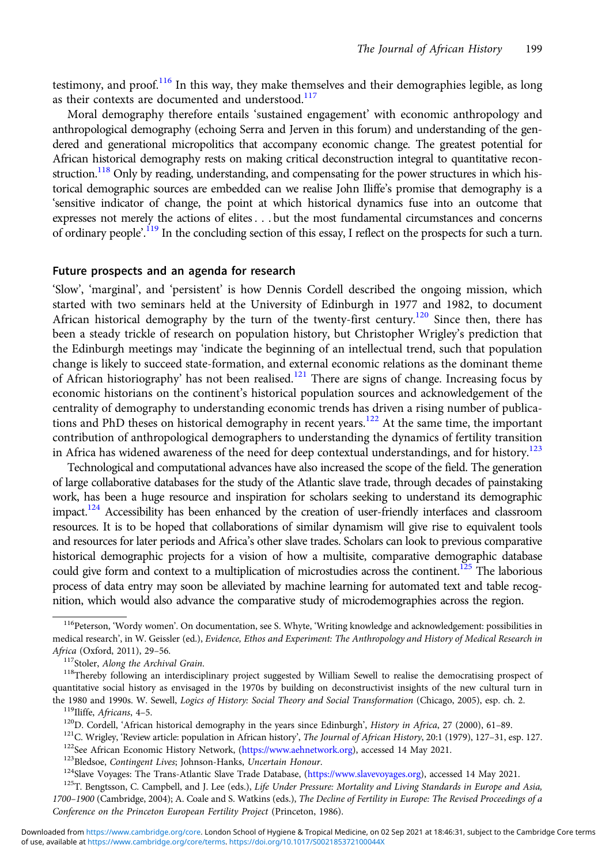testimony, and proof.<sup>116</sup> In this way, they make themselves and their demographies legible, as long as their contexts are documented and understood.<sup>117</sup>

Moral demography therefore entails 'sustained engagement' with economic anthropology and anthropological demography (echoing Serra and Jerven in this forum) and understanding of the gendered and generational micropolitics that accompany economic change. The greatest potential for African historical demography rests on making critical deconstruction integral to quantitative reconstruction.<sup>118</sup> Only by reading, understanding, and compensating for the power structures in which historical demographic sources are embedded can we realise John Iliffe's promise that demography is a 'sensitive indicator of change, the point at which historical dynamics fuse into an outcome that expresses not merely the actions of elites . . . but the most fundamental circumstances and concerns of ordinary people<sup>2</sup>.<sup>119</sup> In the concluding section of this essay, I reflect on the prospects for such a turn.

#### Future prospects and an agenda for research

'Slow', 'marginal', and 'persistent' is how Dennis Cordell described the ongoing mission, which started with two seminars held at the University of Edinburgh in 1977 and 1982, to document African historical demography by the turn of the twenty-first century.<sup>120</sup> Since then, there has been a steady trickle of research on population history, but Christopher Wrigley's prediction that the Edinburgh meetings may 'indicate the beginning of an intellectual trend, such that population change is likely to succeed state-formation, and external economic relations as the dominant theme of African historiography' has not been realised.<sup>121</sup> There are signs of change. Increasing focus by economic historians on the continent's historical population sources and acknowledgement of the centrality of demography to understanding economic trends has driven a rising number of publications and PhD theses on historical demography in recent years.<sup>122</sup> At the same time, the important contribution of anthropological demographers to understanding the dynamics of fertility transition in Africa has widened awareness of the need for deep contextual understandings, and for history.<sup>123</sup>

Technological and computational advances have also increased the scope of the field. The generation of large collaborative databases for the study of the Atlantic slave trade, through decades of painstaking work, has been a huge resource and inspiration for scholars seeking to understand its demographic impact.<sup>124</sup> Accessibility has been enhanced by the creation of user-friendly interfaces and classroom resources. It is to be hoped that collaborations of similar dynamism will give rise to equivalent tools and resources for later periods and Africa's other slave trades. Scholars can look to previous comparative historical demographic projects for a vision of how a multisite, comparative demographic database could give form and context to a multiplication of microstudies across the continent.<sup>125</sup> The laborious process of data entry may soon be alleviated by machine learning for automated text and table recognition, which would also advance the comparative study of microdemographies across the region.

<sup>&</sup>lt;sup>116</sup>Peterson, 'Wordy women'. On documentation, see S. Whyte, 'Writing knowledge and acknowledgement: possibilities in medical research', in W. Geissler (ed.), Evidence, Ethos and Experiment: The Anthropology and History of Medical Research in Africa (Oxford, 2011), 29–56.<br><sup>117</sup>Stoler, *Along the Archival Grain.* 118Thereby following an interdisciplinary project suggested by William Sewell to realise the democratising prospect of

quantitative social history as envisaged in the 1970s by building on deconstructivist insights of the new cultural turn in<br>the 1980 and 1990s. W. Sewell, *Logics of History: Social Theory and Social Transformation* (Chicag

<sup>&</sup>lt;sup>119</sup>Iliffe, *Africans*, 4–5.<br><sup>120</sup>D. Cordell, 'African historical demography in the years since Edinburgh', *History in Africa*, 27 (2000), 61–89.<br><sup>121</sup>C. Wrigley, 'Review article: population in African history', *The Jo* 

<sup>1700</sup>–1900 (Cambridge, 2004); A. Coale and S. Watkins (eds.), The Decline of Fertility in Europe: The Revised Proceedings of a Conference on the Princeton European Fertility Project (Princeton, 1986).